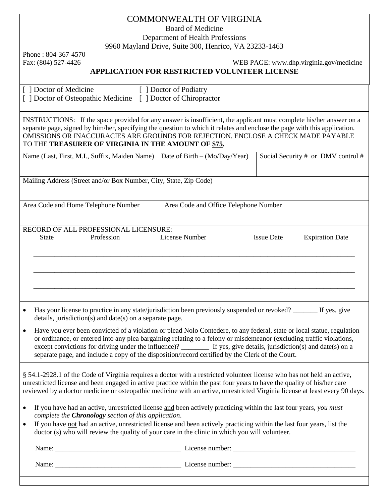## COMMONWEALTH OF VIRGINIA

Board of Medicine

Department of Health Professions

9960 Mayland Drive, Suite 300, Henrico, VA 23233-1463

Phone : 804-367-4570

Fax: (804) 527-4426 WEB PAGE: www.dhp.virginia.gov/medicine

## **APPLICATION FOR RESTRICTED VOLUNTEER LICENSE**

| [ ] Doctor of Medicine             |
|------------------------------------|
| [ ] Doctor of Osteopathic Medicine |

[ ] Doctor of Podiatry [ ] Doctor of Chiropractor

INSTRUCTIONS: If the space provided for any answer is insufficient, the applicant must complete his/her answer on a separate page, signed by him/her, specifying the question to which it relates and enclose the page with this application. OMISSIONS OR INACCURACIES ARE GROUNDS FOR REJECTION. ENCLOSE A CHECK MADE PAYABLE TO THE **TREASURER OF VIRGINIA IN THE AMOUNT OF \$75.**

|   |                                                                                                                                                                                                                                                                                                                                                                  |                                                          | Name (Last, First, M.I., Suffix, Maiden Name) Date of Birth – (Mo/Day/Year)                                       |                   | Social Security # or DMV control # |
|---|------------------------------------------------------------------------------------------------------------------------------------------------------------------------------------------------------------------------------------------------------------------------------------------------------------------------------------------------------------------|----------------------------------------------------------|-------------------------------------------------------------------------------------------------------------------|-------------------|------------------------------------|
|   | Mailing Address (Street and/or Box Number, City, State, Zip Code)                                                                                                                                                                                                                                                                                                |                                                          |                                                                                                                   |                   |                                    |
|   | Area Code and Home Telephone Number<br>Area Code and Office Telephone Number                                                                                                                                                                                                                                                                                     |                                                          |                                                                                                                   |                   |                                    |
|   |                                                                                                                                                                                                                                                                                                                                                                  | RECORD OF ALL PROFESSIONAL LICENSURE:                    |                                                                                                                   |                   |                                    |
|   | <b>State</b>                                                                                                                                                                                                                                                                                                                                                     | Profession                                               | License Number                                                                                                    | <b>Issue Date</b> | <b>Expiration Date</b>             |
|   |                                                                                                                                                                                                                                                                                                                                                                  |                                                          |                                                                                                                   |                   |                                    |
|   |                                                                                                                                                                                                                                                                                                                                                                  |                                                          |                                                                                                                   |                   |                                    |
|   |                                                                                                                                                                                                                                                                                                                                                                  |                                                          |                                                                                                                   |                   |                                    |
|   |                                                                                                                                                                                                                                                                                                                                                                  |                                                          |                                                                                                                   |                   |                                    |
|   |                                                                                                                                                                                                                                                                                                                                                                  |                                                          |                                                                                                                   |                   |                                    |
|   |                                                                                                                                                                                                                                                                                                                                                                  |                                                          |                                                                                                                   |                   |                                    |
| ٠ |                                                                                                                                                                                                                                                                                                                                                                  | details, jurisdiction(s) and date(s) on a separate page. | Has your license to practice in any state/jurisdiction been previously suspended or revoked? _______ If yes, give |                   |                                    |
|   | Have you ever been convicted of a violation or plead Nolo Contedere, to any federal, state or local statue, regulation<br>or ordinance, or entered into any plea bargaining relating to a felony or misdemeanor (excluding traffic violations,<br>and the state of the state of the state of the state of the state of the state of the state of the state of th |                                                          |                                                                                                                   |                   |                                    |

except convictions for driving under the influence)? If yes, give details, jurisdiction(s) and date(s) on a separate page, and include a copy of the disposition/record certified by the Clerk of the Court.

§ 54.1-2928.1 of the Code of Virginia requires a doctor with a restricted volunteer license who has not held an active, unrestricted license and been engaged in active practice within the past four years to have the quality of his/her care reviewed by a doctor medicine or osteopathic medicine with an active, unrestricted Virginia license at least every 90 days.

- If you have had an active, unrestricted license and been actively practicing within the last four years, *you must complete the Chronology section of this application*.
- If you have not had an active, unrestricted license and been actively practicing within the last four years, list the doctor (s) who will review the quality of your care in the clinic in which you will volunteer.

| Name: | License number: |
|-------|-----------------|
| Name: | License number: |
|       |                 |